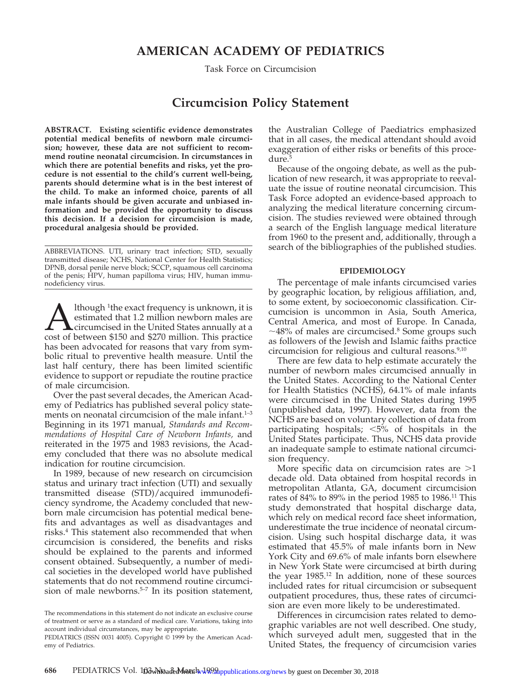## **AMERICAN ACADEMY OF PEDIATRICS**

Task Force on Circumcision

### **Circumcision Policy Statement**

**ABSTRACT. Existing scientific evidence demonstrates potential medical benefits of newborn male circumcision; however, these data are not sufficient to recommend routine neonatal circumcision. In circumstances in which there are potential benefits and risks, yet the procedure is not essential to the child's current well-being, parents should determine what is in the best interest of the child. To make an informed choice, parents of all male infants should be given accurate and unbiased information and be provided the opportunity to discuss this decision. If a decision for circumcision is made, procedural analgesia should be provided.**

ABBREVIATIONS. UTI, urinary tract infection; STD, sexually transmitted disease; NCHS, National Center for Health Statistics; DPNB, dorsal penile nerve block; SCCP, squamous cell carcinoma of the penis; HPV, human papilloma virus; HIV, human immunodeficiency virus.

Ithough <sup>1</sup>the exact frequency is unknown, it is<br>estimated that 1.2 million newborn males are<br>circumcised in the United States annually at a<br>cost of between \$150 and \$270 million. This practice estimated that 1.2 million newborn males are circumcised in the United States annually at a cost of between \$150 and \$270 million. This practice has been advocated for reasons that vary from symbolic ritual to preventive health measure. Until the last half century, there has been limited scientific evidence to support or repudiate the routine practice of male circumcision.

Over the past several decades, the American Academy of Pediatrics has published several policy statements on neonatal circumcision of the male infant.<sup>1-3</sup> Beginning in its 1971 manual, *Standards and Recommendations of Hospital Care of Newborn Infants,* and reiterated in the 1975 and 1983 revisions, the Academy concluded that there was no absolute medical indication for routine circumcision.

In 1989, because of new research on circumcision status and urinary tract infection (UTI) and sexually transmitted disease (STD)/acquired immunodeficiency syndrome, the Academy concluded that newborn male circumcision has potential medical benefits and advantages as well as disadvantages and risks.4 This statement also recommended that when circumcision is considered, the benefits and risks should be explained to the parents and informed consent obtained. Subsequently, a number of medical societies in the developed world have published statements that do not recommend routine circumcision of male newborns.<sup>5-7</sup> In its position statement,

The recommendations in this statement do not indicate an exclusive course of treatment or serve as a standard of medical care. Variations, taking into account individual circumstances, may be appropriate.

the Australian College of Paediatrics emphasized that in all cases, the medical attendant should avoid exaggeration of either risks or benefits of this procedure.<sup>5</sup>

Because of the ongoing debate, as well as the publication of new research, it was appropriate to reevaluate the issue of routine neonatal circumcision. This Task Force adopted an evidence-based approach to analyzing the medical literature concerning circumcision. The studies reviewed were obtained through a search of the English language medical literature from 1960 to the present and, additionally, through a search of the bibliographies of the published studies.

#### **EPIDEMIOLOGY**

The percentage of male infants circumcised varies by geographic location, by religious affiliation, and, to some extent, by socioeconomic classification. Circumcision is uncommon in Asia, South America, Central America, and most of Europe. In Canada,  $\sim$ 48% of males are circumcised.<sup>8</sup> Some groups such as followers of the Jewish and Islamic faiths practice circumcision for religious and cultural reasons.9,10

There are few data to help estimate accurately the number of newborn males circumcised annually in the United States. According to the National Center for Health Statistics (NCHS), 64.1% of male infants were circumcised in the United States during 1995 (unpublished data, 1997). However, data from the NCHS are based on voluntary collection of data from participating hospitals;  $\langle 5\% \rangle$  of hospitals in the United States participate. Thus, NCHS data provide an inadequate sample to estimate national circumcision frequency.

More specific data on circumcision rates are  $>1$ decade old. Data obtained from hospital records in metropolitan Atlanta, GA, document circumcision rates of 84% to 89% in the period 1985 to 1986.11 This study demonstrated that hospital discharge data, which rely on medical record face sheet information, underestimate the true incidence of neonatal circumcision. Using such hospital discharge data, it was estimated that 45.5% of male infants born in New York City and 69.6% of male infants born elsewhere in New York State were circumcised at birth during the year 1985.<sup>12</sup> In addition, none of these sources included rates for ritual circumcision or subsequent outpatient procedures, thus, these rates of circumcision are even more likely to be underestimated.

Differences in circumcision rates related to demographic variables are not well described. One study, which surveyed adult men, suggested that in the United States, the frequency of circumcision varies

PEDIATRICS (ISSN 0031 4005). Copyright © 1999 by the American Academy of Pediatrics.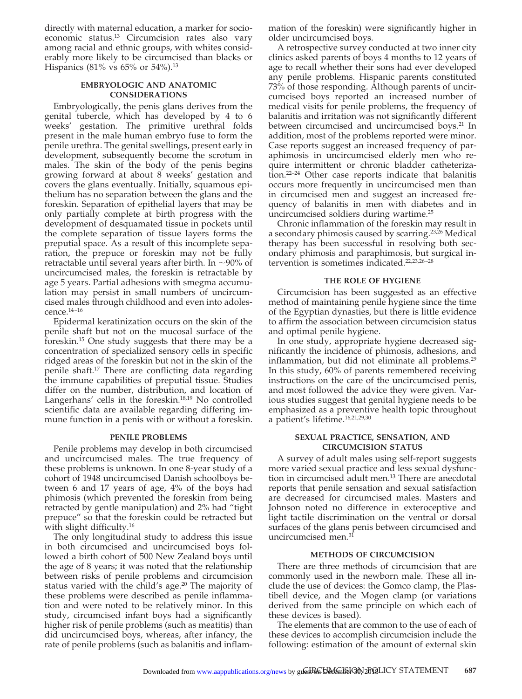directly with maternal education, a marker for socioeconomic status.13 Circumcision rates also vary among racial and ethnic groups, with whites considerably more likely to be circumcised than blacks or Hispanics (81% vs 65% or 54%).<sup>13</sup>

#### **EMBRYOLOGIC AND ANATOMIC CONSIDERATIONS**

Embryologically, the penis glans derives from the genital tubercle, which has developed by 4 to 6 weeks' gestation. The primitive urethral folds present in the male human embryo fuse to form the penile urethra. The genital swellings, present early in development, subsequently become the scrotum in males. The skin of the body of the penis begins growing forward at about 8 weeks' gestation and covers the glans eventually. Initially, squamous epithelium has no separation between the glans and the foreskin. Separation of epithelial layers that may be only partially complete at birth progress with the development of desquamated tissue in pockets until the complete separation of tissue layers forms the preputial space. As a result of this incomplete separation, the prepuce or foreskin may not be fully retractable until several years after birth. In  $\sim$ 90% of uncircumcised males, the foreskin is retractable by age 5 years. Partial adhesions with smegma accumulation may persist in small numbers of uncircumcised males through childhood and even into adolescence.14–16

Epidermal keratinization occurs on the skin of the penile shaft but not on the mucosal surface of the foreskin.15 One study suggests that there may be a concentration of specialized sensory cells in specific ridged areas of the foreskin but not in the skin of the penile shaft.17 There are conflicting data regarding the immune capabilities of preputial tissue. Studies differ on the number, distribution, and location of Langerhans' cells in the foreskin.18,19 No controlled scientific data are available regarding differing immune function in a penis with or without a foreskin.

#### **PENILE PROBLEMS**

Penile problems may develop in both circumcised and uncircumcised males. The true frequency of these problems is unknown. In one 8-year study of a cohort of 1948 uncircumcised Danish schoolboys between 6 and 17 years of age, 4% of the boys had phimosis (which prevented the foreskin from being retracted by gentle manipulation) and 2% had "tight prepuce" so that the foreskin could be retracted but with slight difficulty.<sup>16</sup>

The only longitudinal study to address this issue in both circumcised and uncircumcised boys followed a birth cohort of 500 New Zealand boys until the age of 8 years; it was noted that the relationship between risks of penile problems and circumcision status varied with the child's age.<sup>20</sup> The majority of these problems were described as penile inflammation and were noted to be relatively minor. In this study, circumcised infant boys had a significantly higher risk of penile problems (such as meatitis) than did uncircumcised boys, whereas, after infancy, the rate of penile problems (such as balanitis and inflammation of the foreskin) were significantly higher in older uncircumcised boys.

A retrospective survey conducted at two inner city clinics asked parents of boys 4 months to 12 years of age to recall whether their sons had ever developed any penile problems. Hispanic parents constituted 73% of those responding. Although parents of uncircumcised boys reported an increased number of medical visits for penile problems, the frequency of balanitis and irritation was not significantly different between circumcised and uncircumcised boys.<sup>21</sup> In addition, most of the problems reported were minor. Case reports suggest an increased frequency of paraphimosis in uncircumcised elderly men who require intermittent or chronic bladder catheterization.22–24 Other case reports indicate that balanitis occurs more frequently in uncircumcised men than in circumcised men and suggest an increased frequency of balanitis in men with diabetes and in uncircumcised soldiers during wartime.25

Chronic inflammation of the foreskin may result in a secondary phimosis caused by scarring.<sup>23,26</sup> Medical therapy has been successful in resolving both secondary phimosis and paraphimosis, but surgical intervention is sometimes indicated.22,23,26–28

#### **THE ROLE OF HYGIENE**

Circumcision has been suggested as an effective method of maintaining penile hygiene since the time of the Egyptian dynasties, but there is little evidence to affirm the association between circumcision status and optimal penile hygiene.

In one study, appropriate hygiene decreased significantly the incidence of phimosis, adhesions, and inflammation, but did not eliminate all problems.29 In this study, 60% of parents remembered receiving instructions on the care of the uncircumcised penis, and most followed the advice they were given. Various studies suggest that genital hygiene needs to be emphasized as a preventive health topic throughout a patient's lifetime.16,21,29,30

#### **SEXUAL PRACTICE, SENSATION, AND CIRCUMCISION STATUS**

A survey of adult males using self-report suggests more varied sexual practice and less sexual dysfunction in circumcised adult men.13 There are anecdotal reports that penile sensation and sexual satisfaction are decreased for circumcised males. Masters and Johnson noted no difference in exteroceptive and light tactile discrimination on the ventral or dorsal surfaces of the glans penis between circumcised and uncircumcised men.<sup>31</sup>

#### **METHODS OF CIRCUMCISION**

There are three methods of circumcision that are commonly used in the newborn male. These all include the use of devices: the Gomco clamp, the Plastibell device, and the Mogen clamp (or variations derived from the same principle on which each of these devices is based).

The elements that are common to the use of each of these devices to accomplish circumcision include the following: estimation of the amount of external skin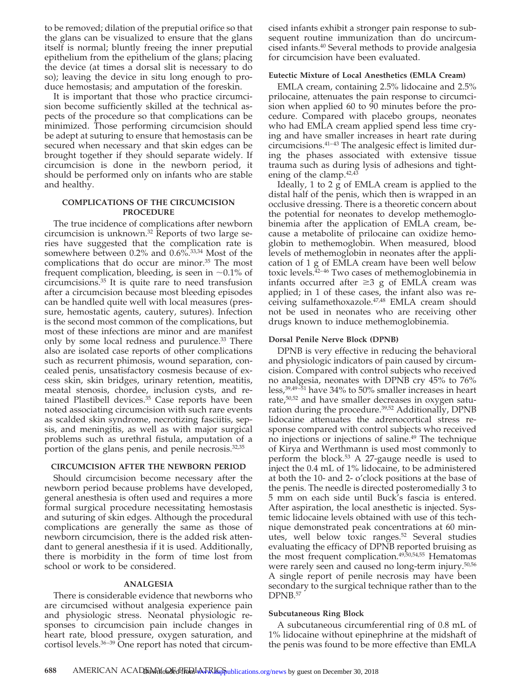to be removed; dilation of the preputial orifice so that the glans can be visualized to ensure that the glans itself is normal; bluntly freeing the inner preputial epithelium from the epithelium of the glans; placing the device (at times a dorsal slit is necessary to do so); leaving the device in situ long enough to produce hemostasis; and amputation of the foreskin.

It is important that those who practice circumcision become sufficiently skilled at the technical aspects of the procedure so that complications can be minimized. Those performing circumcision should be adept at suturing to ensure that hemostasis can be secured when necessary and that skin edges can be brought together if they should separate widely. If circumcision is done in the newborn period, it should be performed only on infants who are stable and healthy.

#### **COMPLICATIONS OF THE CIRCUMCISION PROCEDURE**

The true incidence of complications after newborn circumcision is unknown.32 Reports of two large series have suggested that the complication rate is somewhere between 0.2% and 0.6%.33,34 Most of the complications that do occur are minor.<sup>35</sup> The most frequent complication, bleeding, is seen in  $~1\%$  of circumcisions.35 It is quite rare to need transfusion after a circumcision because most bleeding episodes can be handled quite well with local measures (pressure, hemostatic agents, cautery, sutures). Infection is the second most common of the complications, but most of these infections are minor and are manifest only by some local redness and purulence.<sup>33</sup> There also are isolated case reports of other complications such as recurrent phimosis, wound separation, concealed penis, unsatisfactory cosmesis because of excess skin, skin bridges, urinary retention, meatitis, meatal stenosis, chordee, inclusion cysts, and retained Plastibell devices.<sup>35</sup> Case reports have been noted associating circumcision with such rare events as scalded skin syndrome, necrotizing fasciitis, sepsis, and meningitis, as well as with major surgical problems such as urethral fistula, amputation of a portion of the glans penis, and penile necrosis.<sup>32,35</sup>

#### **CIRCUMCISION AFTER THE NEWBORN PERIOD**

Should circumcision become necessary after the newborn period because problems have developed, general anesthesia is often used and requires a more formal surgical procedure necessitating hemostasis and suturing of skin edges. Although the procedural complications are generally the same as those of newborn circumcision, there is the added risk attendant to general anesthesia if it is used. Additionally, there is morbidity in the form of time lost from school or work to be considered.

#### **ANALGESIA**

There is considerable evidence that newborns who are circumcised without analgesia experience pain and physiologic stress. Neonatal physiologic responses to circumcision pain include changes in heart rate, blood pressure, oxygen saturation, and cortisol levels.<sup>36-39</sup> One report has noted that circumcised infants exhibit a stronger pain response to subsequent routine immunization than do uncircumcised infants.40 Several methods to provide analgesia for circumcision have been evaluated.

#### **Eutectic Mixture of Local Anesthetics (EMLA Cream)**

EMLA cream, containing 2.5% lidocaine and 2.5% prilocaine, attenuates the pain response to circumcision when applied 60 to 90 minutes before the procedure. Compared with placebo groups, neonates who had EMLA cream applied spend less time crying and have smaller increases in heart rate during circumcisions.41–43 The analgesic effect is limited during the phases associated with extensive tissue trauma such as during lysis of adhesions and tightening of the clamp.  $42,43$ 

Ideally, 1 to 2 g of EMLA cream is applied to the distal half of the penis, which then is wrapped in an occlusive dressing. There is a theoretic concern about the potential for neonates to develop methemoglobinemia after the application of EMLA cream, because a metabolite of prilocaine can oxidize hemoglobin to methemoglobin. When measured, blood levels of methemoglobin in neonates after the application of 1 g of EMLA cream have been well below toxic levels.<sup>42–46</sup> Two cases of methemoglobinemia in infants occurred after  $\geq$ 3 g of EMLA cream was applied; in 1 of these cases, the infant also was receiving sulfamethoxazole.47,48 EMLA cream should not be used in neonates who are receiving other drugs known to induce methemoglobinemia.

#### **Dorsal Penile Nerve Block (DPNB)**

DPNB is very effective in reducing the behavioral and physiologic indicators of pain caused by circumcision. Compared with control subjects who received no analgesia, neonates with DPNB cry 45% to 76% less,39,49–51 have 34% to 50% smaller increases in heart rate,<sup>50,52</sup> and have smaller decreases in oxygen saturation during the procedure.39,52 Additionally, DPNB lidocaine attenuates the adrenocortical stress response compared with control subjects who received no injections or injections of saline.49 The technique of Kirya and Werthmann is used most commonly to perform the block.53 A 27-gauge needle is used to inject the 0.4 mL of 1% lidocaine, to be administered at both the 10- and 2- o'clock positions at the base of the penis. The needle is directed posteromedially 3 to 5 mm on each side until Buck's fascia is entered. After aspiration, the local anesthetic is injected. Systemic lidocaine levels obtained with use of this technique demonstrated peak concentrations at 60 minutes, well below toxic ranges.52 Several studies evaluating the efficacy of DPNB reported bruising as the most frequent complication.<sup>49,50,54,55</sup> Hematomas were rarely seen and caused no long-term injury.<sup>50,56</sup> A single report of penile necrosis may have been secondary to the surgical technique rather than to the DPNB.<sup>57</sup>

#### **Subcutaneous Ring Block**

A subcutaneous circumferential ring of 0.8 mL of 1% lidocaine without epinephrine at the midshaft of the penis was found to be more effective than EMLA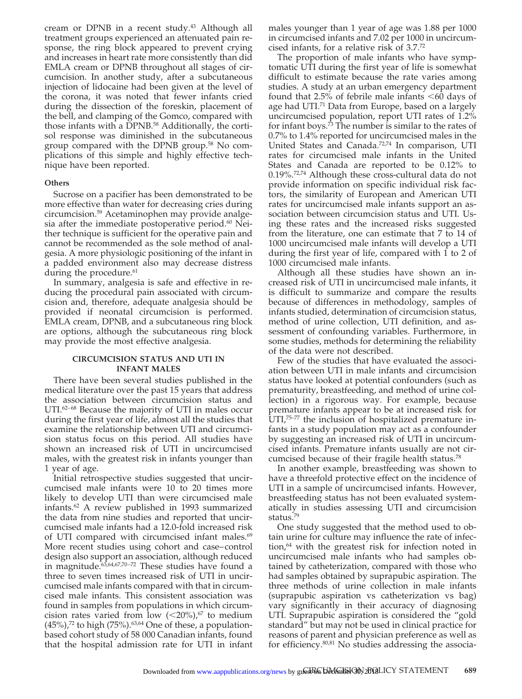cream or DPNB in a recent study.<sup>43</sup> Although all treatment groups experienced an attenuated pain response, the ring block appeared to prevent crying and increases in heart rate more consistently than did EMLA cream or DPNB throughout all stages of circumcision. In another study, after a subcutaneous injection of lidocaine had been given at the level of the corona, it was noted that fewer infants cried during the dissection of the foreskin, placement of the bell, and clamping of the Gomco, compared with those infants with a DPNB.<sup>58</sup> Additionally, the cortisol response was diminished in the subcutaneous group compared with the DPNB group.58 No complications of this simple and highly effective technique have been reported.

#### **Others**

Sucrose on a pacifier has been demonstrated to be more effective than water for decreasing cries during circumcision.59 Acetaminophen may provide analgesia after the immediate postoperative period.<sup>60</sup> Neither technique is sufficient for the operative pain and cannot be recommended as the sole method of analgesia. A more physiologic positioning of the infant in a padded environment also may decrease distress during the procedure.<sup>61</sup>

In summary, analgesia is safe and effective in reducing the procedural pain associated with circumcision and, therefore, adequate analgesia should be provided if neonatal circumcision is performed. EMLA cream, DPNB, and a subcutaneous ring block are options, although the subcutaneous ring block may provide the most effective analgesia.

#### **CIRCUMCISION STATUS AND UTI IN INFANT MALES**

There have been several studies published in the medical literature over the past 15 years that address the association between circumcision status and UTI.<sup>62–68</sup> Because the majority of UTI in males occur during the first year of life, almost all the studies that examine the relationship between UTI and circumcision status focus on this period. All studies have shown an increased risk of UTI in uncircumcised males, with the greatest risk in infants younger than 1 year of age.

Initial retrospective studies suggested that uncircumcised male infants were 10 to 20 times more likely to develop UTI than were circumcised male infants.62 A review published in 1993 summarized the data from nine studies and reported that uncircumcised male infants had a 12.0-fold increased risk of UTI compared with circumcised infant males.<sup>69</sup> More recent studies using cohort and case–control design also support an association, although reduced in magnitude.<sup>63,64,67,70-72</sup> These studies have found a three to seven times increased risk of UTI in uncircumcised male infants compared with that in circumcised male infants. This consistent association was found in samples from populations in which circumcision rates varied from low  $(<20\%)$ ,  $\frac{67}{3}$  to medium  $(45%)$ ,<sup>72</sup> to high (75%).<sup>63,64</sup> One of these, a populationbased cohort study of 58 000 Canadian infants, found that the hospital admission rate for UTI in infant

males younger than 1 year of age was 1.88 per 1000 in circumcised infants and 7.02 per 1000 in uncircumcised infants, for a relative risk of 3.7.72

The proportion of male infants who have symptomatic UTI during the first year of life is somewhat difficult to estimate because the rate varies among studies. A study at an urban emergency department found that 2.5% of febrile male infants  $<60$  days of age had UTI.<sup>71</sup> Data from Europe, based on a largely uncircumcised population, report UTI rates of 1.2% for infant boys.<sup> $\bar{7}$ 3 The number is similar to the rates of</sup> 0.7% to 1.4% reported for uncircumcised males in the United States and Canada.72,74 In comparison, UTI rates for circumcised male infants in the United States and Canada are reported to be 0.12% to 0.19%.72,74 Although these cross-cultural data do not provide information on specific individual risk factors, the similarity of European and American UTI rates for uncircumcised male infants support an association between circumcision status and UTI. Using these rates and the increased risks suggested from the literature, one can estimate that 7 to 14 of 1000 uncircumcised male infants will develop a UTI during the first year of life, compared with  $1$  to  $2$  of 1000 circumcised male infants.

Although all these studies have shown an increased risk of UTI in uncircumcised male infants, it is difficult to summarize and compare the results because of differences in methodology, samples of infants studied, determination of circumcision status, method of urine collection, UTI definition, and assessment of confounding variables. Furthermore, in some studies, methods for determining the reliability of the data were not described.

Few of the studies that have evaluated the association between UTI in male infants and circumcision status have looked at potential confounders (such as prematurity, breastfeeding, and method of urine collection) in a rigorous way. For example, because premature infants appear to be at increased risk for UTI,<sup>75-77</sup> the inclusion of hospitalized premature infants in a study population may act as a confounder by suggesting an increased risk of UTI in uncircumcised infants. Premature infants usually are not circumcised because of their fragile health status.78

In another example, breastfeeding was shown to have a threefold protective effect on the incidence of UTI in a sample of uncircumcised infants. However, breastfeeding status has not been evaluated systematically in studies assessing UTI and circumcision status.79

One study suggested that the method used to obtain urine for culture may influence the rate of infection, $64$  with the greatest risk for infection noted in uncircumcised male infants who had samples obtained by catheterization, compared with those who had samples obtained by suprapubic aspiration. The three methods of urine collection in male infants (suprapubic aspiration vs catheterization vs bag) vary significantly in their accuracy of diagnosing UTI. Suprapubic aspiration is considered the "gold standard" but may not be used in clinical practice for reasons of parent and physician preference as well as for efficiency.80,81 No studies addressing the associa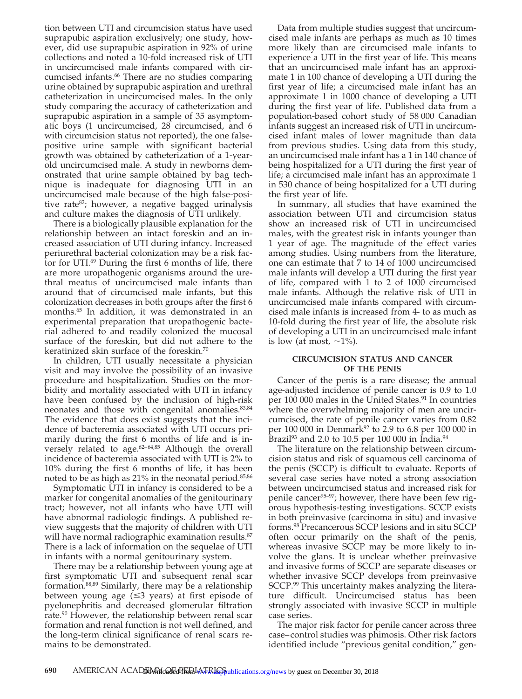tion between UTI and circumcision status have used suprapubic aspiration exclusively; one study, however, did use suprapubic aspiration in 92% of urine collections and noted a 10-fold increased risk of UTI in uncircumcised male infants compared with circumcised infants.<sup>66</sup> There are no studies comparing urine obtained by suprapubic aspiration and urethral catheterization in uncircumcised males. In the only study comparing the accuracy of catheterization and suprapubic aspiration in a sample of 35 asymptomatic boys (1 uncircumcised, 28 circumcised, and 6 with circumcision status not reported), the one falsepositive urine sample with significant bacterial growth was obtained by catheterization of a 1-yearold uncircumcised male. A study in newborns demonstrated that urine sample obtained by bag technique is inadequate for diagnosing UTI in an uncircumcised male because of the high false-positive rate<sup>82</sup>; however, a negative bagged urinalysis and culture makes the diagnosis of UTI unlikely.

There is a biologically plausible explanation for the relationship between an intact foreskin and an increased association of UTI during infancy. Increased periurethral bacterial colonization may be a risk factor for UTI.69 During the first 6 months of life, there are more uropathogenic organisms around the urethral meatus of uncircumcised male infants than around that of circumcised male infants, but this colonization decreases in both groups after the first 6 months.65 In addition, it was demonstrated in an experimental preparation that uropathogenic bacterial adhered to and readily colonized the mucosal surface of the foreskin, but did not adhere to the keratinized skin surface of the foreskin.70

In children, UTI usually necessitate a physician visit and may involve the possibility of an invasive procedure and hospitalization. Studies on the morbidity and mortality associated with UTI in infancy have been confused by the inclusion of high-risk neonates and those with congenital anomalies.<sup>83,84</sup> The evidence that does exist suggests that the incidence of bacteremia associated with UTI occurs primarily during the first 6 months of life and is inversely related to age.<sup>62-64,85</sup> Although the overall incidence of bacteremia associated with UTI is 2% to 10% during the first 6 months of life, it has been noted to be as high as 21% in the neonatal period.<sup>85,86</sup>

Symptomatic UTI in infancy is considered to be a marker for congenital anomalies of the genitourinary tract; however, not all infants who have UTI will have abnormal radiologic findings. A published review suggests that the majority of children with UTI will have normal radiographic examination results.<sup>87</sup> There is a lack of information on the sequelae of UTI in infants with a normal genitourinary system.

There may be a relationship between young age at first symptomatic UTI and subsequent renal scar formation.88,89 Similarly, there may be a relationship between young age  $( \leq 3$  years) at first episode of pyelonephritis and decreased glomerular filtration rate.<sup>90</sup> However, the relationship between renal scar formation and renal function is not well defined, and the long-term clinical significance of renal scars remains to be demonstrated.

Data from multiple studies suggest that uncircumcised male infants are perhaps as much as 10 times more likely than are circumcised male infants to experience a UTI in the first year of life. This means that an uncircumcised male infant has an approximate 1 in 100 chance of developing a UTI during the first year of life; a circumcised male infant has an approximate 1 in 1000 chance of developing a UTI during the first year of life. Published data from a population-based cohort study of 58 000 Canadian infants suggest an increased risk of UTI in uncircumcised infant males of lower magnitude than data from previous studies. Using data from this study, an uncircumcised male infant has a 1 in 140 chance of being hospitalized for a UTI during the first year of life; a circumcised male infant has an approximate 1 in 530 chance of being hospitalized for a UTI during the first year of life.

In summary, all studies that have examined the association between UTI and circumcision status show an increased risk of UTI in uncircumcised males, with the greatest risk in infants younger than 1 year of age. The magnitude of the effect varies among studies. Using numbers from the literature, one can estimate that 7 to 14 of 1000 uncircumcised male infants will develop a UTI during the first year of life, compared with 1 to 2 of 1000 circumcised male infants. Although the relative risk of UTI in uncircumcised male infants compared with circumcised male infants is increased from 4- to as much as 10-fold during the first year of life, the absolute risk of developing a UTI in an uncircumcised male infant is low (at most,  $\sim$ 1%).

#### **CIRCUMCISION STATUS AND CANCER OF THE PENIS**

Cancer of the penis is a rare disease; the annual age-adjusted incidence of penile cancer is 0.9 to 1.0 per 100 000 males in the United States.<sup>91</sup> In countries where the overwhelming majority of men are uncircumcised, the rate of penile cancer varies from 0.82 per 100 000 in Denmark<sup>92</sup> to 2.9 to 6.8 per 100 000 in Brazil<sup>93</sup> and 2.0 to 10.5 per 100 000 in India.<sup>94</sup>

The literature on the relationship between circumcision status and risk of squamous cell carcinoma of the penis (SCCP) is difficult to evaluate. Reports of several case series have noted a strong association between uncircumcised status and increased risk for penile cancer<sup>95-97</sup>; however, there have been few rigorous hypothesis-testing investigations. SCCP exists in both preinvasive (carcinoma in situ) and invasive forms.98 Precancerous SCCP lesions and in situ SCCP often occur primarily on the shaft of the penis, whereas invasive SCCP may be more likely to involve the glans. It is unclear whether preinvasive and invasive forms of SCCP are separate diseases or whether invasive SCCP develops from preinvasive SCCP.<sup>99</sup> This uncertainty makes analyzing the literature difficult. Uncircumcised status has been strongly associated with invasive SCCP in multiple case series.

The major risk factor for penile cancer across three case–control studies was phimosis. Other risk factors identified include "previous genital condition," gen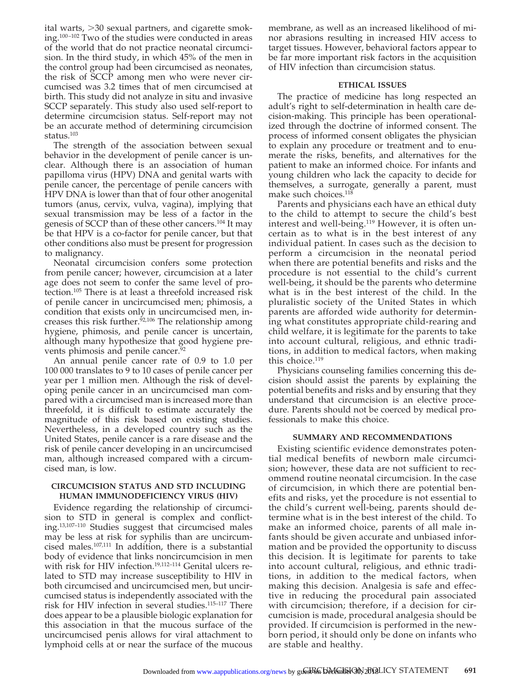ital warts,  $>$ 30 sexual partners, and cigarette smoking.100–102 Two of the studies were conducted in areas of the world that do not practice neonatal circumcision. In the third study, in which 45% of the men in the control group had been circumcised as neonates, the risk of SCCP among men who were never circumcised was 3.2 times that of men circumcised at birth. This study did not analyze in situ and invasive SCCP separately. This study also used self-report to determine circumcision status. Self-report may not be an accurate method of determining circumcision status.<sup>103</sup>

The strength of the association between sexual behavior in the development of penile cancer is unclear. Although there is an association of human papilloma virus (HPV) DNA and genital warts with penile cancer, the percentage of penile cancers with HPV DNA is lower than that of four other anogenital tumors (anus, cervix, vulva, vagina), implying that sexual transmission may be less of a factor in the genesis of SCCP than of these other cancers.<sup>104</sup> It may be that HPV is a co-factor for penile cancer, but that other conditions also must be present for progression to malignancy.

Neonatal circumcision confers some protection from penile cancer; however, circumcision at a later age does not seem to confer the same level of protection.105 There is at least a threefold increased risk of penile cancer in uncircumcised men; phimosis, a condition that exists only in uncircumcised men, increases this risk further. $92,106$  The relationship among hygiene, phimosis, and penile cancer is uncertain, although many hypothesize that good hygiene prevents phimosis and penile cancer.<sup>9</sup>

An annual penile cancer rate of 0.9 to 1.0 per 100 000 translates to 9 to 10 cases of penile cancer per year per 1 million men. Although the risk of developing penile cancer in an uncircumcised man compared with a circumcised man is increased more than threefold, it is difficult to estimate accurately the magnitude of this risk based on existing studies. Nevertheless, in a developed country such as the United States, penile cancer is a rare disease and the risk of penile cancer developing in an uncircumcised man, although increased compared with a circumcised man, is low.

#### **CIRCUMCISION STATUS AND STD INCLUDING HUMAN IMMUNODEFICIENCY VIRUS (HIV)**

Evidence regarding the relationship of circumcision to STD in general is complex and conflicting.13,107–110 Studies suggest that circumcised males may be less at risk for syphilis than are uncircumcised males.107,111 In addition, there is a substantial body of evidence that links noncircumcision in men with risk for HIV infection.<sup>19,112-114</sup> Genital ulcers related to STD may increase susceptibility to HIV in both circumcised and uncircumcised men, but uncircumcised status is independently associated with the risk for HIV infection in several studies.<sup>115-117</sup> There does appear to be a plausible biologic explanation for this association in that the mucous surface of the uncircumcised penis allows for viral attachment to lymphoid cells at or near the surface of the mucous membrane, as well as an increased likelihood of minor abrasions resulting in increased HIV access to target tissues. However, behavioral factors appear to be far more important risk factors in the acquisition of HIV infection than circumcision status.

#### **ETHICAL ISSUES**

The practice of medicine has long respected an adult's right to self-determination in health care decision-making. This principle has been operationalized through the doctrine of informed consent. The process of informed consent obligates the physician to explain any procedure or treatment and to enumerate the risks, benefits, and alternatives for the patient to make an informed choice. For infants and young children who lack the capacity to decide for themselves, a surrogate, generally a parent, must make such choices.<sup>118</sup>

Parents and physicians each have an ethical duty to the child to attempt to secure the child's best interest and well-being.<sup>119</sup> However, it is often uncertain as to what is in the best interest of any individual patient. In cases such as the decision to perform a circumcision in the neonatal period when there are potential benefits and risks and the procedure is not essential to the child's current well-being, it should be the parents who determine what is in the best interest of the child. In the pluralistic society of the United States in which parents are afforded wide authority for determining what constitutes appropriate child-rearing and child welfare, it is legitimate for the parents to take into account cultural, religious, and ethnic traditions, in addition to medical factors, when making this choice.<sup>119</sup>

Physicians counseling families concerning this decision should assist the parents by explaining the potential benefits and risks and by ensuring that they understand that circumcision is an elective procedure. Parents should not be coerced by medical professionals to make this choice.

#### **SUMMARY AND RECOMMENDATIONS**

Existing scientific evidence demonstrates potential medical benefits of newborn male circumcision; however, these data are not sufficient to recommend routine neonatal circumcision. In the case of circumcision, in which there are potential benefits and risks, yet the procedure is not essential to the child's current well-being, parents should determine what is in the best interest of the child. To make an informed choice, parents of all male infants should be given accurate and unbiased information and be provided the opportunity to discuss this decision. It is legitimate for parents to take into account cultural, religious, and ethnic traditions, in addition to the medical factors, when making this decision. Analgesia is safe and effective in reducing the procedural pain associated with circumcision; therefore, if a decision for circumcision is made, procedural analgesia should be provided. If circumcision is performed in the newborn period, it should only be done on infants who are stable and healthy.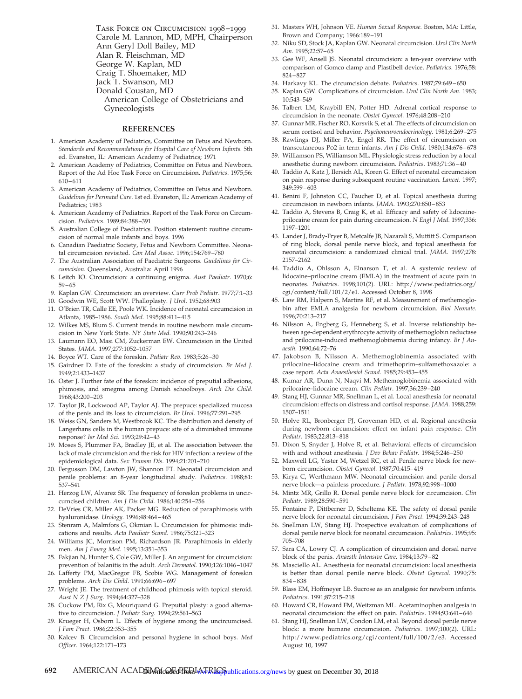Task Force on Circumcision 1998–1999 Carole M. Lannon, MD, MPH, Chairperson Ann Geryl Doll Bailey, MD Alan R. Fleischman, MD George W. Kaplan, MD Craig T. Shoemaker, MD Jack T. Swanson, MD Donald Coustan, MD American College of Obstetricians and Gynecologists

#### **REFERENCES**

- 1. American Academy of Pediatrics, Committee on Fetus and Newborn. *Standards and Recommendations for Hospital Care of Newborn Infants.* 5th ed. Evanston, IL: American Academy of Pediatrics; 1971
- 2. American Academy of Pediatrics, Committee on Fetus and Newborn. Report of the Ad Hoc Task Force on Circumcision. *Pediatrics*. 1975;56: 610–611
- 3. American Academy of Pediatrics, Committee on Fetus and Newborn. *Guidelines for Perinatal Care*. 1st ed. Evanston, IL: American Academy of Pediatrics; 1983
- 4. American Academy of Pediatrics. Report of the Task Force on Circumcision. *Pediatrics*. 1989;84:388–391
- 5. Australian College of Paediatrics. Position statement: routine circumcision of normal male infants and boys. 1996
- 6. Canadian Paediatric Society, Fetus and Newborn Committee. Neonatal circumcision revisited. *Can Med Assoc*. 1996;154:769–780
- 7. The Australian Association of Paediatric Surgeons. *Guidelines for Circumcision*. Queensland, Australia: April 1996
- 8. Leitch IO. Circumcision: a continuing enigma. *Aust Paediatr*. 1970;6: 59–65
- 9. Kaplan GW. Circumcision: an overview. *Curr Prob Pediatr*. 1977;7:1–33
- 10. Goodwin WE, Scott WW. Phalloplasty. *J Urol*. 1952;68:903
- 11. O'Brien TR, Calle EE, Poole WK. Incidence of neonatal circumcision in Atlanta, 1985–1986. *South Med.* 1995;88:411–415
- 12. Wilkes MS, Blum S. Current trends in routine newborn male circumcision in New York State. *NY State Med.* 1990;90:243–246
- 13. Laumann EO, Masi CM, Zuckerman EW. Circumcision in the United States. *JAMA.* 1997;277:1052–1057
- 14. Boyce WT. Care of the foreskin. *Pediatr Rev*. 1983;5:26–30
- 15. Gairdner D. Fate of the foreskin: a study of circumcision. *Br Med J.* 1949;2:1433–1437
- 16. Oster J. Further fate of the foreskin: incidence of preputial adhesions, phimosis, and smegma among Danish schoolboys. *Arch Dis Child.* 1968;43:200–203
- 17. Taylor JR, Lockwood AP, Taylor AJ. The prepuce: specialized mucosa of the penis and its loss to circumcision. *Br Urol*. 1996;77:291–295
- 18. Weiss GN, Sanders M, Westbrook KC. The distribution and density of Langerhans cells in the human prepuce: site of a diminished immune response? *Isr Med Sci*. 1993;29:42–43
- 19. Moses S, Plummer FA, Bradley JE, et al. The association between the lack of male circumcision and the risk for HIV infection: a review of the epidemiological data. *Sex Transm Dis.* 1994;21:201–210
- 20. Fergusson DM, Lawton JW, Shannon FT. Neonatal circumcision and penile problems: an 8-year longitudinal study. *Pediatrics*. 1988;81: 537–541
- 21. Herzog LW, Alvarez SR. The frequency of foreskin problems in uncircumcised children. *Am J Dis Child.* 1986;140:254–256
- 22. DeVries CR, Miller AK, Packer MG. Reduction of paraphimosis with hyaluronidase. *Urology.* 1996;48:464–465
- 23. Stenram A, Malmfors G, Okmian L. Circumcision for phimosis: indications and results. *Acta Paediatr Scand*. 1986;75:321–323
- 24. Williams JC, Morrison PM, Richardson JR. Paraphimosis in elderly men. *Am J Emerg Med*. 1995;13:351–353
- 25. Fakjian N, Hunter S, Cole GW, Miller J. An argument for circumcision: prevention of balanitis in the adult. *Arch Dermatol.* 1990;126:1046–1047
- 26. Lafferty PM, MacGregor FB, Scobie WG. Management of foreskin problems. *Arch Dis Child*. 1991;66:696–697
- 27. Wright JE. The treatment of childhood phimosis with topical steroid. *Aust N Z J Surg*. 1994;64:327–328
- 28. Cuckow PM, Rix G, Mouriquand G. Preputial plasty: a good alternative to circumcision. *J Pediatr Surg.* 1994;29:561–563
- 29. Krueger H, Osborn L. Effects of hygiene among the uncircumcised. *J Fam Pract*. 1986;22:353–355
- 30. Kalcev B. Circumcision and personal hygiene in school boys. *Med Officer.* 1964;122:171–173
- 31. Masters WH, Johnson VE. *Human Sexual Response.* Boston, MA: Little, Brown and Company; 1966:189–191
- 32. Niku SD, Stock JA, Kaplan GW. Neonatal circumcision. *Urol Clin North Am*. 1995;22:57–65
- 33. Gee WF, Ansell JS. Neonatal circumcision: a ten-year overview with comparison of Gomco clamp and Plastibell device. *Pediatrics*. 1976;58: 824–827
- 34. Harkavy KL. The circumcision debate. *Pediatrics*. 1987;79:649–650
- 35. Kaplan GW. Complications of circumcision. *Urol Clin North Am.* 1983; 10:543–549
- 36. Talbert LM, Kraybill EN, Potter HD. Adrenal cortical response to circumcision in the neonate. *Obstet Gynecol.* 1976;48:208–210
- 37. Gunnar MR, Fischer RO, Korsvik S, et al. The effects of circumcision on serum cortisol and behavior. *Psychoneuroendocrinology.* 1981;6:269–275
- Rawlings DJ, Miller PA, Engel RR. The effect of circumcision on transcutaneous Po2 in term infants. *Am J Dis Child.* 1980;134:676–678
- 39. Williamson PS, Williamson ML. Physiologic stress reduction by a local anesthetic during newborn circumcision. *Pediatrics*. 1983;71:36–40
- 40. Taddio A, Katz J, Ilersich AL, Koren G. Effect of neonatal circumcision on pain response during subsequent routine vaccination. *Lancet.* 1997; 349:599–603
- 41. Benini F, Johnston CC, Faucher D, et al. Topical anesthesia during circumcision in newborn infants. *JAMA.* 1993;270:850–853
- 42. Taddio A, Stevens B, Craig K, et al. Efficacy and safety of lidocaineprilocaine cream for pain during circumcision. *N Engl J Med.* 1997;336: 1197–1201
- 43. Lander J, Brady-Fryer B, Metcalfe JB, Nazarali S, Muttitt S. Comparison of ring block, dorsal penile nerve block, and topical anesthesia for neonatal circumcision: a randomized clinical trial. *JAMA.* 1997;278: 2157–2162
- 44. Taddio A, Ohlsson A, Elnarson T, et al. A systemic review of lidocaine–prilocaine cream (EMLA) in the treatment of acute pain in neonates. *Pediatrics*. 1998;101(2). URL: http://www.pediatrics.org/ cgi/content/full/101/2/e1. Accessed October 8, 1998
- 45. Law RM, Halpern S, Martins RF, et al. Measurement of methemoglobin after EMLA analgesia for newborn circumcision. *Biol Neonate.* 1996;70:213–217
- 46. Nilsson A, Engberg G, Henneberg S, et al. Inverse relationship between age-dependent erythrocyte activity of methemoglobin reductase and prilocaine-induced methemoglobinemia during infancy. *Br J Anaesth.* 1990;64:72–76
- 47. Jakobson B, Nilsson A. Methemoglobinemia associated with prilocaine–lidocaine cream and trimethoprim–sulfamethoxazole: a case report. *Acta Anaesthesiol Scand*. 1985;29:453–455
- 48. Kumar AR, Dunn N, Naqvi M. Methemoglobinemia associated with prilocaine–lidocaine cream. *Clin Pediatr*. 1997;36:239–240
- 49. Stang HJ, Gunnar MR, Snellman L, et al. Local anesthesia for neonatal circumcision: effects on distress and cortisol response. *JAMA.* 1988;259: 1507–1511
- 50. Holve RL, Bronberger PJ, Groveman HD, et al. Regional anesthesia during newborn circumcision: effect on infant pain response. *Clin Pediatr.* 1983;22:813–818
- 51. Dixon S, Snyder J, Holve R, et al. Behavioral effects of circumcision with and without anesthesia. *J Dev Behav Pediatr.* 1984;5:246–250
- 52. Maxwell LG, Yaster M, Wetzel RC, et al. Penile nerve block for newborn circumcision. *Obstet Gynecol.* 1987;70:415–419
- 53. Kirya C, Werthmann MW. Neonatal circumcision and penile dorsal nerve block—a painless procedure. *J Pediatr.* 1978;92:998–1000
- 54. Mintz MR, Grillo R. Dorsal penile nerve block for circumcision. *Clin Pediatr.* 1989;28:590–591
- 55. Fontaine P, Dittberner D, Scheltema KE. The safety of dorsal penile nerve block for neonatal circumcision. *J Fam Pract.* 1994;39:243–248
- 56. Snellman LW, Stang HJ. Prospective evaluation of complications of dorsal penile nerve block for neonatal circumcision. *Pediatrics*. 1995;95: 705–708
- 57. Sara CA, Lowry CJ. A complication of circumcision and dorsal nerve block of the penis. *Anaesth Intensive Care*. 1984;13:79–82
- 58. Masciello AL. Anesthesia for neonatal circumcision: local anesthesia is better than dorsal penile nerve block. *Obstet Gynecol.* 1990;75: 834–838
- 59. Blass EM, Hoffmeyer LB. Sucrose as an analgesic for newborn infants. *Pediatrics*. 1991;87:215–218
- 60. Howard CR, Howard FM, Weitzman ML. Acetaminophen analgesia in neonatal circumcision: the effect on pain. *Pediatrics*. 1994;93:641–646
- 61. Stang HJ, Snellman LW, Condon LM, et al. Beyond dorsal penile nerve block: a more humane circumcision. *Pediatrics*. 1997;100(2). URL: http://www.pediatrics.org/cgi/content/full/100/2/e3. Accessed August 10, 1997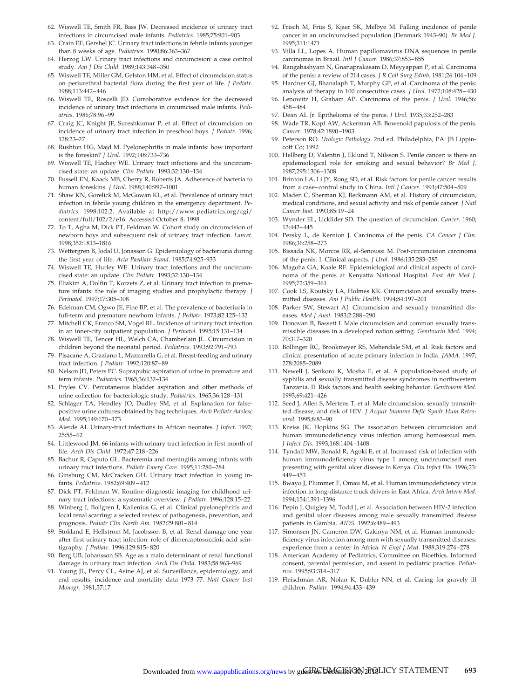- 62. Wiswell TE, Smith FR, Bass JW. Decreased incidence of urinary tract infections in circumcised male infants. *Pediatrics*. 1985;75:901–903
- 63. Crain EF, Gershel JC. Urinary tract infections in febrile infants younger than 8 weeks of age. *Pediatrics*. 1990;86:363–367
- 64. Herzog LW. Urinary tract infections and circumcision: a case control study. *Am J Dis Child.* 1989;143:348–350
- 65. Wiswell TE, Miller GM, Gelston HM, et al. Effect of circumcision status on periurethral bacterial flora during the first year of life. *J Pediatr.* 1988;113:442–446
- 66. Wiswell TE, Roscelli JD. Corroborative evidence for the decreased incidence of urinary tract infections in circumcised male infants. *Pediatrics*. 1986;78:96–99
- 67. Craig JC, Knight JF, Sureshkumar P, et al. Effect of circumcision on incidence of urinary tract infection in preschool boys. *J Pediatr.* 1996; 128:23–27
- 68. Rushton HG, Majd M. Pyelonephritis in male infants: how important is the foreskin? *J Urol*. 1992;148:733–736
- 69. Wiswell TE, Hachey WE. Urinary tract infections and the uncircumcised state: an update. *Clin Pediatr.* 1993;32:130–134
- 70. Fussell EN, Kaack MB, Cherry R, Roberts JA. Adherence of bacteria to human foreskins. *J Urol.* 1988;140:997–1001
- 71. Shaw KN, Gorelick M, McGowan KL, et al. Prevalence of urinary tract infection in febrile young children in the emergency department. *Pediatrics*. 1998;102:2. Available at http://www.pediatrics.org/cgi/ content/full/102/2/e16. Accessed October 8, 1998
- 72. To T, Agha M, Dick PT, Feldman W. Cohort study on circumcision of newborn boys and subsequent risk of urinary tract infection. *Lancet*. 1998;352:1813–1816
- 73. Wettergren B, Jodal U, Jonasson G. Epidemiology of bacteriuria during the first year of life. *Acta Paediatr Scand.* 1985;74:925–933
- 74. Wiswell TE, Hurley WE. Urinary tract infections and the uncircumcised state: an update. *Clin Pediatr.* 1993;32:130–134
- 75. Eliakim A, Dolfin T, Korzets Z, et al. Urinary tract infection in premature infants: the role of imaging studies and prophylactic therapy. *J Perinatol.* 1997;17:305–308
- 76. Edelman CM, Ogwo JE, Fine BP, et al. The prevalence of bacteriuria in full-term and premature newborn infants. *J Pediatr.* 1973;82:125–132
- 77. Mitchell CK, Franco SM, Vogel RL. Incidence of urinary tract infection in an inner-city outpatient population. *J Perinatol.* 1995;15:131–134
- 78. Wiswell TE, Tencer HL, Welch CA, Chamberlain JL. Circumcision in children beyond the neonatal period. *Pediatrics*. 1993;92:791–793
- 79. Pisacane A, Graziano L, Mazzarella G, et al. Breast-feeding and urinary tract infection. *J Pediatr*. 1992;120:87–89
- 80. Nelson JD, Peters PC. Suprapubic aspiration of urine in premature and term infants. *Pediatrics*. 1965;36:132–134
- 81. Pryles CV. Percutaneous bladder aspiration and other methods of urine collection for bacteriologic study. *Pediatrics*. 1965;36:128–131
- 82. Schlager TA, Hendley JO, Dudley SM, et al. Explanation for falsepositive urine cultures obtained by bag techniques. *Arch Pediatr Adolesc Med.* 1995;149:170–173
- 83. Aierde AI. Urinary-tract infections in African neonates. *J Infect*. 1992; 25:55–62
- 84. Littlewood JM. 66 infants with urinary tract infection in first month of life. *Arch Dis Child.* 1972;47:218–226
- 85. Bachur R, Caputo GL. Bacteremia and meningitis among infants with urinary tract infections. *Pediatr Emerg Care.* 1995;11:280–284
- 86. Ginsburg CM, McCracken GH. Urinary tract infection in young infants. *Pediatrics*. 1982;69:409–412
- 87. Dick PT, Feldman W. Routine diagnostic imaging for childhood urinary tract infections: a systematic overview. *J Pediatr.* 1996;128:15–22
- 88. Winberg J, Bollgren I, Kallenius G, et al. Clinical pyelonephritis and local renal scarring: a selected review of pathogenesis, prevention, and prognosis. *Pediatr Clin North Am.* 1982;29:801–814
- 89. Stokland E, Hellstrom M, Jacobsson B, et al. Renal damage one year after first urinary tract infection: role of dimercaptosuccinic acid scintigraphy. *J Pediatr.* 1996;129:815–820
- 90. Berg UB, Johansson SB. Age as a main determinant of renal functional damage in urinary tract infection. *Arch Dis Child.* 1983;58:963–969
- 91. Young JL, Percy CL, Asine AJ, et al. Surveillance, epidemiology, and end results, incidence and mortality data 1973–77. *Natl Cancer Inst Monogr*. 1981;57:17
- 92. Frisch M, Friis S, Kjaer SK, Melbye M. Falling incidence of penile cancer in an uncircumcised population (Denmark 1943–90). *Br Med J.* 1995;311:1471
- 93. Villa LL, Lopes A. Human papillomavirus DNA sequences in penile carcinomas in Brazil. *Intl J Cancer.* 1986;37:853–855
- 94. Rangabashyam N, Gnanaprakasam D, Meyyappan P, et al. Carcinoma of the penis: a review of 214 cases. *J R Coll Surg Edinb.* 1981;26:104–109
- 95. Hardner GJ, Bhanalaph T, Murphy GP, et al. Carcinoma of the penis: analysis of therapy in 100 consecutive cases. *J Urol.* 1972;108:428–430
- 96. Lenowitz H, Graham AP. Carcinoma of the penis. *J Urol.* 1946;56: 458–484
- 97. Dean AL Jr. Epithelioma of the penis. *J Urol.* 1935;33:252–283
- 98. Wade TR, Kopf AW, Ackerman AB. Bowenoid papulosis of the penis. *Cancer.* 1978;42:1890–1903
- 99. Peterson RO. *Urologic Pathology*. 2nd ed. Philadelphia, PA: JB Lippincott Co; 1992
- 100. Hellberg D, Valentin J, Eklund T, Nilsson S. Penile cancer: is there an epidemiological role for smoking and sexual behavior? *Br Med J*. 1987;295:1306–1308
- 101. Brinton LA, Li JY, Rong SD, et al. Risk factors for penile cancer: results from a case–control study in China. *Intl J Cancer.* 1991;47:504–509
- 102. Maden C, Sherman KJ, Beckmann AM, et al. History of circumcision, medical conditions, and sexual activity and risk of penile cancer. *J Natl Cancer Inst.* 1993;85:19–24
- 103. Wynder EL, Licklider SD. The question of circumcision. *Cancer.* 1960; 13:442–445
- 104. Persky L, de Kernion J. Carcinoma of the penis. *CA Cancer J Clin.* 1986;36:258–273
- 105. Bissada NK, Morcos RR, el-Senoussi M. Post-circumcision carcinoma of the penis. I. Clinical aspects. *J Urol*. 1986;135:283–285
- 106. Magoha GA, Kaale RF. Epidemiological and clinical aspects of carcinoma of the penis at Kenyatta National Hospital. *East Afr Med J.* 1995;72:359–361
- 107. Cook LS, Koutsky LA, Holmes KK. Circumcision and sexually transmitted diseases. *Am J Public Health.* 1994;84:197–201
- 108. Parker SW, Stewart AJ. Circumcision and sexually transmitted diseases. *Med J Aust.* 1983;2:288–290
- 109. Donovan B, Bassett I. Male circumcision and common sexually transmissible diseases in a developed nation setting. *Genitourin Med.* 1994; 70:317–320
- 110. Bollinger RC, Brookmeyer RS, Mehendale SM, et al. Risk factors and clinical presentation of acute primary infection in India. *JAMA.* 1997; 278:2085–2089
- 111. Newell J, Senkoro K, Mosha F, et al. A population-based study of syphilis and sexually transmitted disease syndromes in northwestern Tanzania. II. Risk factors and health seeking behavior. *Genitourin Med.* 1993;69:421–426
- 112. Seed J, Allen S, Mertens T, et al. Male circumcision, sexually transmitted disease, and risk of HIV. *J Acquir Immune Defic Syndr Hum Retrovirol.* 1995;8:83–90
- 113. Kreiss JK, Hopkins SG. The association between circumcision and human immunodeficiency virus infection among homosexual men. *J Infect Dis.* 1993;168:1404–1408
- 114. Tyndall MW, Ronald R, Agoki E, et al. Increased risk of infection with human immunodeficiency virus type 1 among uncircumcised men presenting with genital ulcer disease in Kenya. *Clin Infect Dis.* 1996;23: 449–453
- 115. Bwayo J, Plummer F, Omau M, et al. Human immunodeficiency virus infection in long-distance truck drivers in East Africa. *Arch Intern Med.* 1994;154:1391–1396
- 116. Pepin J, Quigley M, Todd J, et al. Association between HIV-2 infection and genital ulcer diseases among male sexually transmitted disease patients in Gambia. *AIDS.* 1992;6:489–493
- 117. Simonsen JN, Cameron DW, Gakinya NM, et al. Human immunodeficiency virus infection among men with sexually transmitted diseases: experience from a center in Africa. *N Engl J Med.* 1988;319:274–278
- 118. American Academy of Pediatrics, Committee on Bioethics. Informed consent, parental permission, and assent in pediatric practice. *Pediatrics*. 1995;93:314–317
- 119. Fleischman AR, Nolan K, Dubler NN, et al. Caring for gravely ill children. *Pediatr.* 1994;94:433–439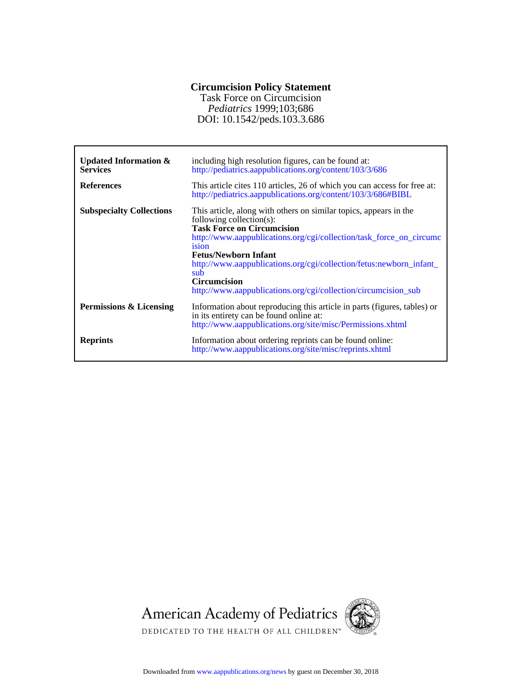## **Circumcision Policy Statement**

DOI: 10.1542/peds.103.3.686 *Pediatrics* 1999;103;686 Task Force on Circumcision

| <b>Updated Information &amp;</b><br><b>Services</b> | including high resolution figures, can be found at:<br>http://pediatrics.aappublications.org/content/103/3/686                                                                                                                                                                                                                                                                                                           |
|-----------------------------------------------------|--------------------------------------------------------------------------------------------------------------------------------------------------------------------------------------------------------------------------------------------------------------------------------------------------------------------------------------------------------------------------------------------------------------------------|
| <b>References</b>                                   | This article cites 110 articles, 26 of which you can access for free at:<br>http://pediatrics.aappublications.org/content/103/3/686#BIBL                                                                                                                                                                                                                                                                                 |
| <b>Subspecialty Collections</b>                     | This article, along with others on similar topics, appears in the<br>following collection(s):<br><b>Task Force on Circumcision</b><br>http://www.aappublications.org/cgi/collection/task_force_on_circumc<br>ision<br><b>Fetus/Newborn Infant</b><br>http://www.aappublications.org/cgi/collection/fetus:newborn_infant_<br>sub<br><b>Circumcision</b><br>http://www.aappublications.org/cgi/collection/circumcision_sub |
| Permissions & Licensing                             | Information about reproducing this article in parts (figures, tables) or<br>in its entirety can be found online at:<br>http://www.aappublications.org/site/misc/Permissions.xhtml                                                                                                                                                                                                                                        |
| <b>Reprints</b>                                     | Information about ordering reprints can be found online:<br>http://www.aappublications.org/site/misc/reprints.xhtml                                                                                                                                                                                                                                                                                                      |